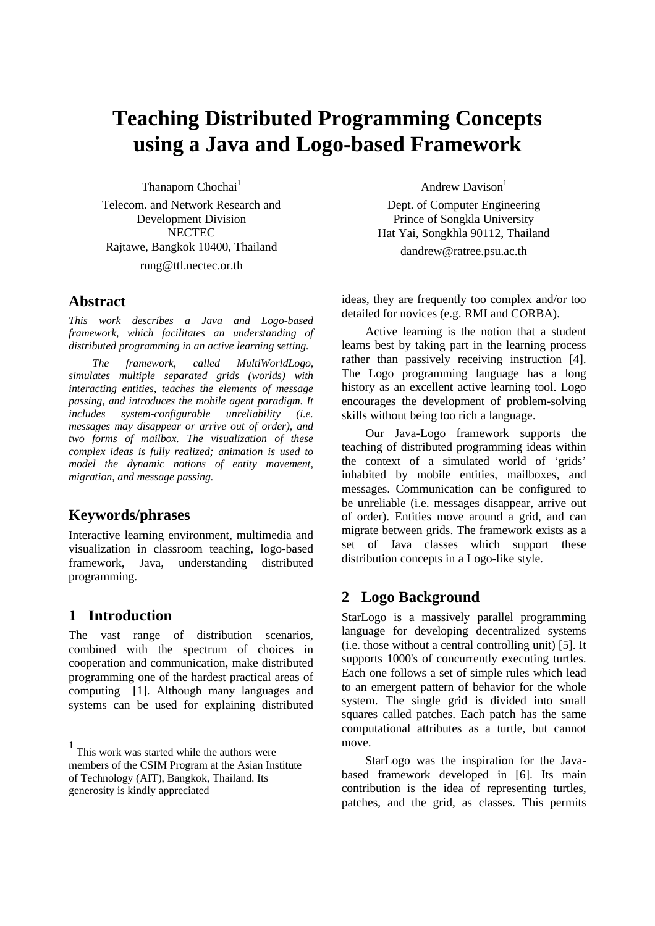# **Teaching Distributed Programming Concepts using a Java and Logo-based Framework**

Thanaporn Chochai<sup>1</sup> Telecom. and Network Research and Development Division **NECTEC** Rajtawe, Bangkok 10400, Thailand rung@ttl.nectec.or.th

## **Abstract<sup>1</sup>**

*This work describes a Java and Logo-based framework, which facilitates an understanding of distributed programming in an active learning setting.*

*The framework, called MultiWorldLogo, simulates multiple separated grids (worlds) with interacting entities, teaches the elements of message passing, and introduces the mobile agent paradigm. It includes system-configurable unreliability (i.e. messages may disappear or arrive out of order), and two forms of mailbox. The visualization of these complex ideas is fully realized; animation is used to model the dynamic notions of entity movement, migration, and message passing.*

# **Keywords/phrases**

Interactive learning environment, multimedia and visualization in classroom teaching, logo-based framework, Java, understanding distributed programming.

# **1 Introduction**

-

The vast range of distribution scenarios, combined with the spectrum of choices in cooperation and communication, make distributed programming one of the hardest practical areas of computing [1]. Although many languages and systems can be used for explaining distributed Andrew Davison $<sup>1</sup>$ </sup>

Dept. of Computer Engineering Prince of Songkla University Hat Yai, Songkhla 90112, Thailand dandrew@ratree.psu.ac.th

ideas, they are frequently too complex and/or too detailed for novices (e.g. RMI and CORBA).

Active learning is the notion that a student learns best by taking part in the learning process rather than passively receiving instruction [4]. The Logo programming language has a long history as an excellent active learning tool. Logo encourages the development of problem-solving skills without being too rich a language.

Our Java-Logo framework supports the teaching of distributed programming ideas within the context of a simulated world of 'grids' inhabited by mobile entities, mailboxes, and messages. Communication can be configured to be unreliable (i.e. messages disappear, arrive out of order). Entities move around a grid, and can migrate between grids. The framework exists as a set of Java classes which support these distribution concepts in a Logo-like style.

# **2 Logo Background**

StarLogo is a massively parallel programming language for developing decentralized systems (i.e. those without a central controlling unit) [5]. It supports 1000's of concurrently executing turtles. Each one follows a set of simple rules which lead to an emergent pattern of behavior for the whole system. The single grid is divided into small squares called patches. Each patch has the same computational attributes as a turtle, but cannot move.

StarLogo was the inspiration for the Javabased framework developed in [6]. Its main contribution is the idea of representing turtles, patches, and the grid, as classes. This permits

<sup>1</sup> This work was started while the authors were members of the CSIM Program at the Asian Institute of Technology (AIT), Bangkok, Thailand. Its generosity is kindly appreciated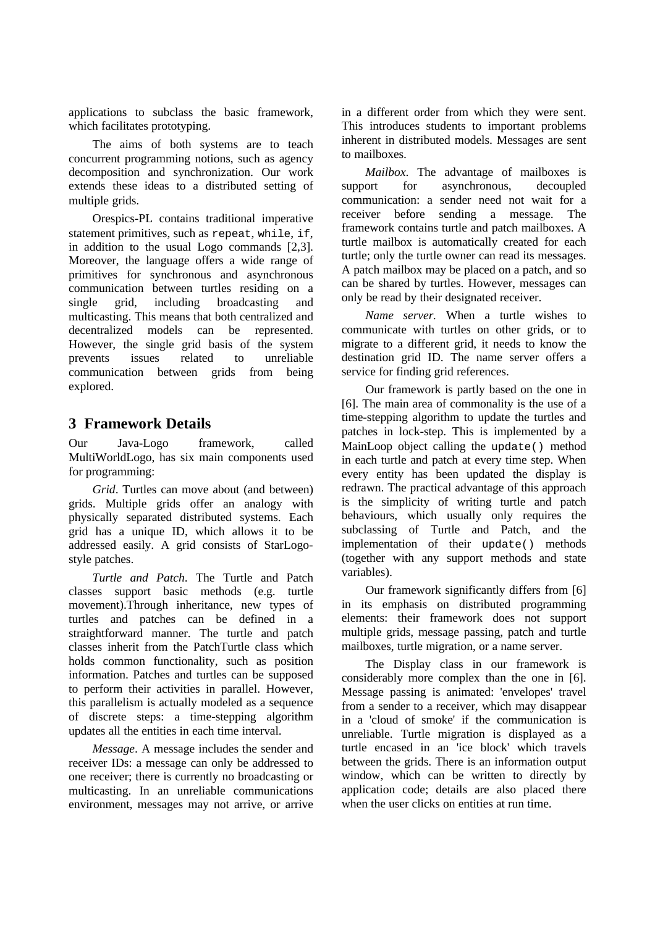applications to subclass the basic framework, which facilitates prototyping.

The aims of both systems are to teach concurrent programming notions, such as agency decomposition and synchronization. Our work extends these ideas to a distributed setting of multiple grids.

Orespics-PL contains traditional imperative statement primitives, such as repeat, while, if, in addition to the usual Logo commands [2,3]. Moreover, the language offers a wide range of primitives for synchronous and asynchronous communication between turtles residing on a single grid, including broadcasting and multicasting. This means that both centralized and decentralized models can be represented. However, the single grid basis of the system prevents issues related to unreliable communication between grids from being explored.

## **3 Framework Details**

Our Java-Logo framework, called MultiWorldLogo, has six main components used for programming:

*Grid*. Turtles can move about (and between) grids. Multiple grids offer an analogy with physically separated distributed systems. Each grid has a unique ID, which allows it to be addressed easily. A grid consists of StarLogostyle patches.

*Turtle and Patch*. The Turtle and Patch classes support basic methods (e.g. turtle movement).Through inheritance, new types of turtles and patches can be defined in a straightforward manner. The turtle and patch classes inherit from the PatchTurtle class which holds common functionality, such as position information. Patches and turtles can be supposed to perform their activities in parallel. However, this parallelism is actually modeled as a sequence of discrete steps: a time-stepping algorithm updates all the entities in each time interval.

*Message*. A message includes the sender and receiver IDs: a message can only be addressed to one receiver; there is currently no broadcasting or multicasting. In an unreliable communications environment, messages may not arrive, or arrive

in a different order from which they were sent. This introduces students to important problems inherent in distributed models. Messages are sent to mailboxes.

*Mailbox*. The advantage of mailboxes is support for asynchronous, decoupled communication: a sender need not wait for a receiver before sending a message. The framework contains turtle and patch mailboxes. A turtle mailbox is automatically created for each turtle; only the turtle owner can read its messages. A patch mailbox may be placed on a patch, and so can be shared by turtles. However, messages can only be read by their designated receiver.

*Name server.* When a turtle wishes to communicate with turtles on other grids, or to migrate to a different grid, it needs to know the destination grid ID. The name server offers a service for finding grid references.

Our framework is partly based on the one in [6]. The main area of commonality is the use of a time-stepping algorithm to update the turtles and patches in lock-step. This is implemented by a MainLoop object calling the update() method in each turtle and patch at every time step. When every entity has been updated the display is redrawn. The practical advantage of this approach is the simplicity of writing turtle and patch behaviours, which usually only requires the subclassing of Turtle and Patch, and the implementation of their update() methods (together with any support methods and state variables).

Our framework significantly differs from [6] in its emphasis on distributed programming elements: their framework does not support multiple grids, message passing, patch and turtle mailboxes, turtle migration, or a name server.

The Display class in our framework is considerably more complex than the one in [6]. Message passing is animated: 'envelopes' travel from a sender to a receiver, which may disappear in a 'cloud of smoke' if the communication is unreliable. Turtle migration is displayed as a turtle encased in an 'ice block' which travels between the grids. There is an information output window, which can be written to directly by application code; details are also placed there when the user clicks on entities at run time.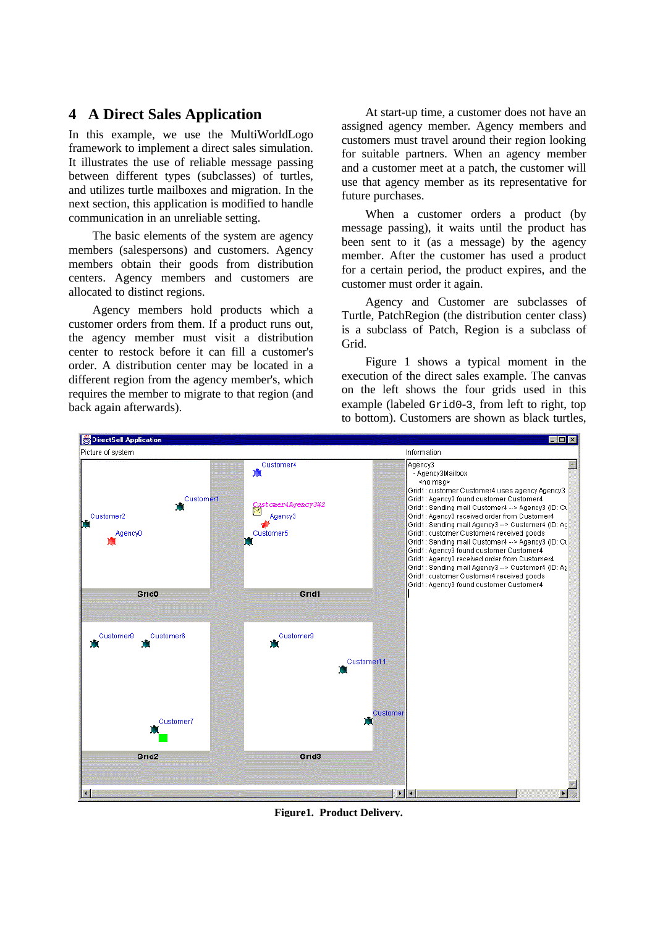## **4 A Direct Sales Application**

In this example, we use the MultiWorldLogo framework to implement a direct sales simulation. It illustrates the use of reliable message passing between different types (subclasses) of turtles, and utilizes turtle mailboxes and migration. In the next section, this application is modified to handle communication in an unreliable setting.

The basic elements of the system are agency members (salespersons) and customers. Agency members obtain their goods from distribution centers. Agency members and customers are allocated to distinct regions.

Agency members hold products which a customer orders from them. If a product runs out, the agency member must visit a distribution center to restock before it can fill a customer's order. A distribution center may be located in a different region from the agency member's, which requires the member to migrate to that region (and back again afterwards).

At start-up time, a customer does not have an assigned agency member. Agency members and customers must travel around their region looking for suitable partners. When an agency member and a customer meet at a patch, the customer will use that agency member as its representative for future purchases.

When a customer orders a product (by message passing), it waits until the product has been sent to it (as a message) by the agency member. After the customer has used a product for a certain period, the product expires, and the customer must order it again.

Agency and Customer are subclasses of Turtle, PatchRegion (the distribution center class) is a subclass of Patch, Region is a subclass of Grid.

Figure 1 shows a typical moment in the execution of the direct sales example. The canvas on the left shows the four grids used in this example (labeled Grid0-3, from left to right, top to bottom). Customers are shown as black turtles,



**Figure1. Product Delivery.**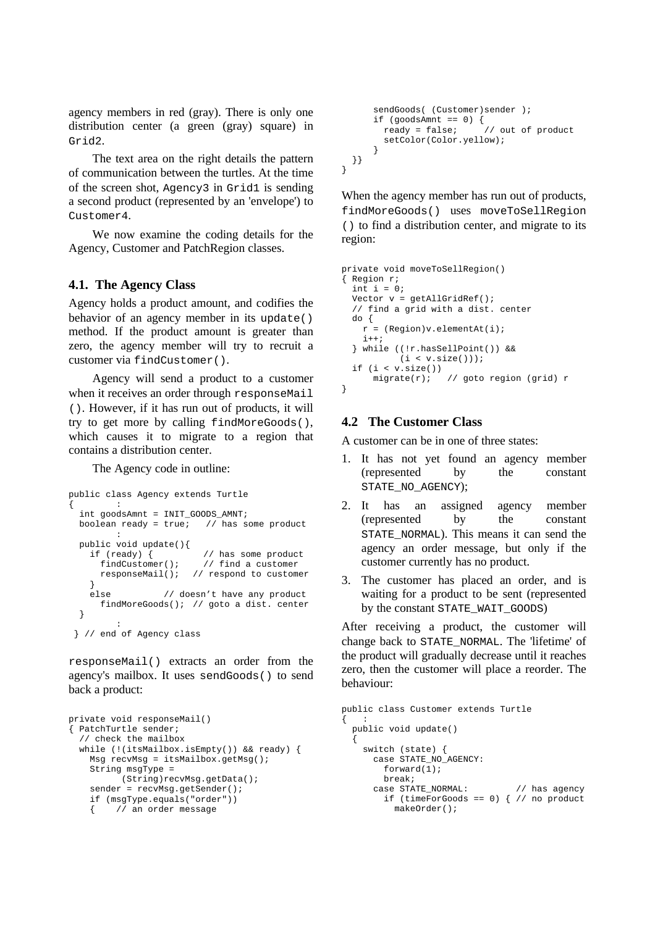agency members in red (gray). There is only one distribution center (a green (gray) square) in Grid2.

The text area on the right details the pattern of communication between the turtles. At the time of the screen shot, Agency3 in Grid1 is sending a second product (represented by an 'envelope') to Customer4.

We now examine the coding details for the Agency, Customer and PatchRegion classes.

#### **4.1. The Agency Class**

Agency holds a product amount, and codifies the behavior of an agency member in its update() method. If the product amount is greater than zero, the agency member will try to recruit a customer via findCustomer().

Agency will send a product to a customer when it receives an order through responseMail (). However, if it has run out of products, it will try to get more by calling findMoreGoods(), which causes it to migrate to a region that contains a distribution center.

The Agency code in outline:

```
public class Agency extends Turtle
\{ :
   int goodsAmnt = INIT_GOODS_AMNT;
  boolean ready = true; // has some product
        \cdot :
  public void update(){<br>if (ready) {
      i (ready) { // has some product<br>findCustomer(); // find a customer
                            // find a customer
       responseMail(); // respond to customer
 }
     else // doesn't have any product
       findMoreGoods(); // goto a dist. center
   }
          :
 } // end of Agency class
```
responseMail() extracts an order from the agency's mailbox. It uses sendGoods() to send back a product:

```
private void responseMail()
{ PatchTurtle sender;
   // check the mailbox
   while (!(itsMailbox.isEmpty()) && ready) {
    Msg recvMsg = itsMailbox.getMsg();
    String msgType =
           (String)recvMsg.getData();
    sender = recvMsg.getSender();
     if (msgType.equals("order"))
     { // an order message
```

```
sendGoods( (Customer)sender );
 if (goodsAmnt == 0) {
 ready = false; // out of product
       setColor(Color.yellow);
     }
  }}
```
When the agency member has run out of products, findMoreGoods() uses moveToSellRegion () to find a distribution center, and migrate to its region:

```
private void moveToSellRegion()
{ Region r;
  int i = 0;
  Vector v = getAllGridRef();
   // find a grid with a dist. center
   do {
   r = (Region)v.elementAt(i);i++; } while ((!r.hasSellPoint()) &&
           (i < v.size());
  if (i < v.size()) migrate(r); // goto region (grid) r
}
```
#### **4.2 The Customer Class**

}

A customer can be in one of three states:

- 1. It has not yet found an agency member (represented by the constant STATE\_NO\_AGENCY);
- 2. It has an assigned agency member (represented by the constant STATE\_NORMAL). This means it can send the agency an order message, but only if the customer currently has no product.
- 3. The customer has placed an order, and is waiting for a product to be sent (represented by the constant STATE\_WAIT\_GOODS)

After receiving a product, the customer will change back to STATE\_NORMAL. The 'lifetime' of the product will gradually decrease until it reaches zero, then the customer will place a reorder. The behaviour:

```
public class Customer extends Turtle
\{ :
   public void update()
 {
     switch (state) {
       case STATE_NO_AGENCY:
          forward(1);
          break;
        case STATE_NORMAL: // has agency
         if (timeForGoods == 0) \left\{\n\begin{array}{ccc}\n\end{array}\right. // no product
             makeOrder();
```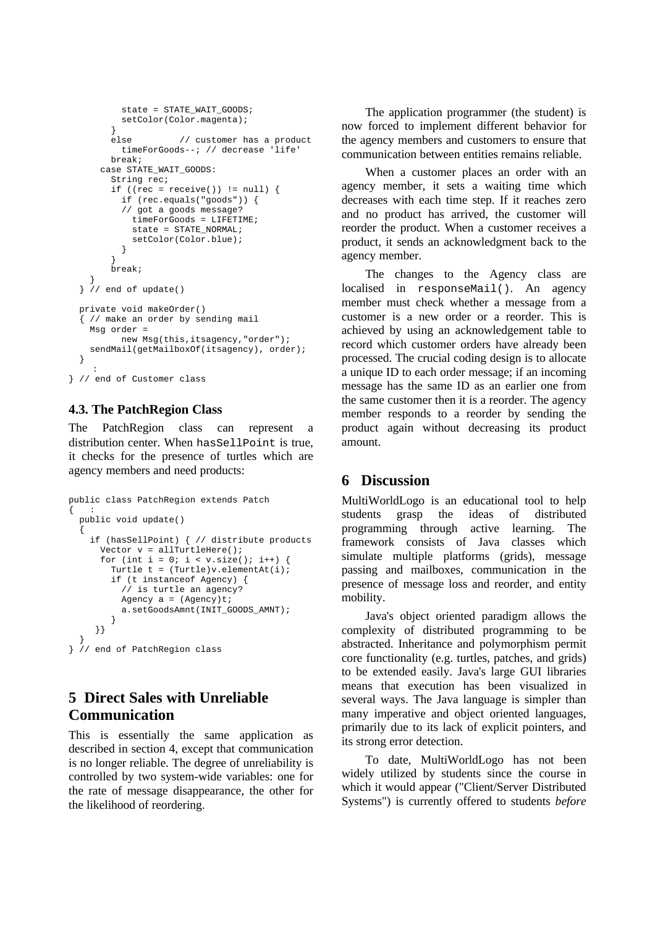```
 state = STATE_WAIT_GOODS;
           setColor(Color.magenta);
 }
         else // customer has a product
           timeForGoods--; // decrease 'life'
         break;
       case STATE_WAIT_GOODS:
         String rec;
        if ((rec = receive()) != null) {
           if (rec.equals("goods")) {
           // got a goods message?
             timeForGoods = LIFETIME;
            state = STATE NORMAL;
             setColor(Color.blue);
           }
         }
         break;
 }
  } // end of update()
  private void makeOrder()
   { // make an order by sending mail
    Msg order =
           new Msg(this,itsagency,"order");
    sendMail(getMailboxOf(itsagency), order);
  }
 :
} // end of Customer class
```
#### **4.3. The PatchRegion Class**

The PatchRegion class can represent a distribution center. When has SellPoint is true, it checks for the presence of turtles which are agency members and need products:

```
public class PatchRegion extends Patch
{ :
  public void update()
 {
     if (hasSellPoint) { // distribute products
      Vector v = \text{allTurtleHere}();
      for (int i = 0; i < v.size(); i++) {
        Turtle t = (Turtle)v. elementAt(i);
         if (t instanceof Agency) {
           // is turtle an agency?
          Agency a = (Agency)t;
          a.setGoodsAmnt(INIT_GOODS_AMNT);
         }
      }}
 }
} // end of PatchRegion class
```
# **5 Direct Sales with Unreliable Communication**

This is essentially the same application as described in section 4, except that communication is no longer reliable. The degree of unreliability is controlled by two system-wide variables: one for the rate of message disappearance, the other for the likelihood of reordering.

The application programmer (the student) is now forced to implement different behavior for the agency members and customers to ensure that communication between entities remains reliable.

When a customer places an order with an agency member, it sets a waiting time which decreases with each time step. If it reaches zero and no product has arrived, the customer will reorder the product. When a customer receives a product, it sends an acknowledgment back to the agency member.

The changes to the Agency class are localised in responseMail(). An agency member must check whether a message from a customer is a new order or a reorder. This is achieved by using an acknowledgement table to record which customer orders have already been processed. The crucial coding design is to allocate a unique ID to each order message; if an incoming message has the same ID as an earlier one from the same customer then it is a reorder. The agency member responds to a reorder by sending the product again without decreasing its product amount.

# **6 Discussion**

MultiWorldLogo is an educational tool to help students grasp the ideas of distributed programming through active learning. The framework consists of Java classes which simulate multiple platforms (grids), message passing and mailboxes, communication in the presence of message loss and reorder, and entity mobility.

Java's object oriented paradigm allows the complexity of distributed programming to be abstracted. Inheritance and polymorphism permit core functionality (e.g. turtles, patches, and grids) to be extended easily. Java's large GUI libraries means that execution has been visualized in several ways. The Java language is simpler than many imperative and object oriented languages, primarily due to its lack of explicit pointers, and its strong error detection.

To date, MultiWorldLogo has not been widely utilized by students since the course in which it would appear ("Client/Server Distributed Systems") is currently offered to students *before*